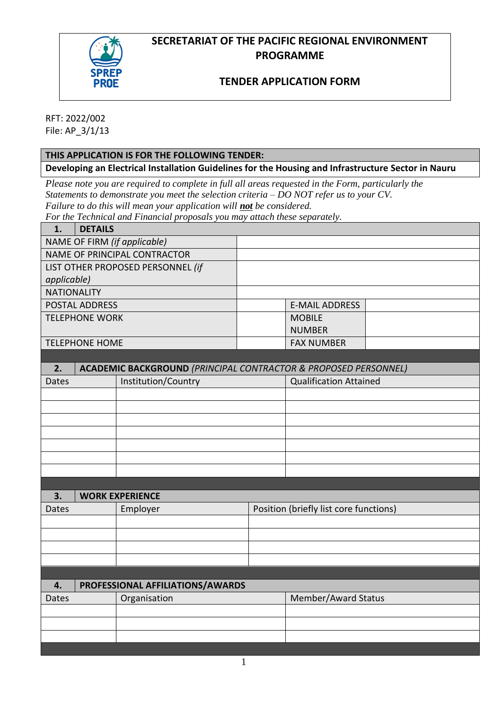# **SECRETARIAT OF THE PACIFIC REGIONAL ENVIRONMENT PROGRAMME**



## **TENDER APPLICATION FORM**

RFT: 2022/002 File: AP\_3/1/13

## **THIS APPLICATION IS FOR THE FOLLOWING TENDER:**

**Developing an Electrical Installation Guidelines for the Housing and Infrastructure Sector in Nauru**

*Please note you are required to complete in full all areas requested in the Form, particularly the Statements to demonstrate you meet the selection criteria – DO NOT refer us to your CV. Failure to do this will mean your application will not be considered.* 

*For the Technical and Financial proposals you may attach these separately.* 

| 1.                                | <b>DETAILS</b>                                                             |                                  |                                        |                               |  |  |  |
|-----------------------------------|----------------------------------------------------------------------------|----------------------------------|----------------------------------------|-------------------------------|--|--|--|
| NAME OF FIRM (if applicable)      |                                                                            |                                  |                                        |                               |  |  |  |
| NAME OF PRINCIPAL CONTRACTOR      |                                                                            |                                  |                                        |                               |  |  |  |
| LIST OTHER PROPOSED PERSONNEL (if |                                                                            |                                  |                                        |                               |  |  |  |
| applicable)                       |                                                                            |                                  |                                        |                               |  |  |  |
| <b>NATIONALITY</b>                |                                                                            |                                  |                                        |                               |  |  |  |
| <b>POSTAL ADDRESS</b>             |                                                                            |                                  |                                        | <b>E-MAIL ADDRESS</b>         |  |  |  |
| <b>TELEPHONE WORK</b>             |                                                                            |                                  |                                        | <b>MOBILE</b>                 |  |  |  |
|                                   |                                                                            |                                  |                                        | <b>NUMBER</b>                 |  |  |  |
| <b>TELEPHONE HOME</b>             |                                                                            |                                  |                                        | <b>FAX NUMBER</b>             |  |  |  |
|                                   |                                                                            |                                  |                                        |                               |  |  |  |
| 2.                                | <b>ACADEMIC BACKGROUND (PRINCIPAL CONTRACTOR &amp; PROPOSED PERSONNEL)</b> |                                  |                                        |                               |  |  |  |
| Dates                             | Institution/Country                                                        |                                  |                                        | <b>Qualification Attained</b> |  |  |  |
|                                   |                                                                            |                                  |                                        |                               |  |  |  |
|                                   |                                                                            |                                  |                                        |                               |  |  |  |
|                                   |                                                                            |                                  |                                        |                               |  |  |  |
|                                   |                                                                            |                                  |                                        |                               |  |  |  |
|                                   |                                                                            |                                  |                                        |                               |  |  |  |
|                                   |                                                                            |                                  |                                        |                               |  |  |  |
|                                   |                                                                            |                                  |                                        |                               |  |  |  |
|                                   |                                                                            |                                  |                                        |                               |  |  |  |
| 3.                                | <b>WORK EXPERIENCE</b>                                                     |                                  |                                        |                               |  |  |  |
| Dates                             | Employer                                                                   |                                  | Position (briefly list core functions) |                               |  |  |  |
|                                   |                                                                            |                                  |                                        |                               |  |  |  |
|                                   |                                                                            |                                  |                                        |                               |  |  |  |
|                                   |                                                                            |                                  |                                        |                               |  |  |  |
|                                   |                                                                            |                                  |                                        |                               |  |  |  |
|                                   |                                                                            |                                  |                                        |                               |  |  |  |
| 4.                                |                                                                            | PROFESSIONAL AFFILIATIONS/AWARDS |                                        |                               |  |  |  |
| <b>Dates</b>                      | Organisation                                                               |                                  |                                        | Member/Award Status           |  |  |  |
|                                   |                                                                            |                                  |                                        |                               |  |  |  |
|                                   |                                                                            |                                  |                                        |                               |  |  |  |
|                                   |                                                                            |                                  |                                        |                               |  |  |  |
|                                   |                                                                            |                                  |                                        |                               |  |  |  |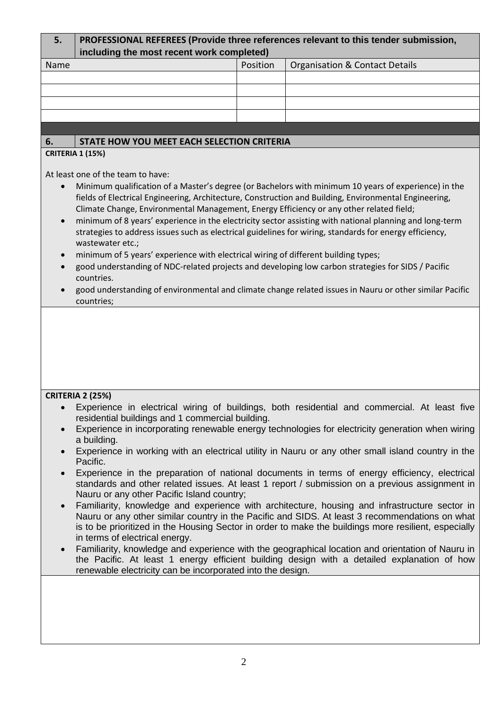| 5.                                                                                                                                                                                                                                                                                                                                                                                                                                                                                                                                                                                                                                                                                                                                                                                                                                                                     | PROFESSIONAL REFEREES (Provide three references relevant to this tender submission,<br>including the most recent work completed)                                                                                                                                                                                                                                                                                                                                                                                                                                                                                                                                                                                                                                                                                                                                                                                           |          |                                                                                                                                                                                                                                                                                                         |  |  |  |  |  |
|------------------------------------------------------------------------------------------------------------------------------------------------------------------------------------------------------------------------------------------------------------------------------------------------------------------------------------------------------------------------------------------------------------------------------------------------------------------------------------------------------------------------------------------------------------------------------------------------------------------------------------------------------------------------------------------------------------------------------------------------------------------------------------------------------------------------------------------------------------------------|----------------------------------------------------------------------------------------------------------------------------------------------------------------------------------------------------------------------------------------------------------------------------------------------------------------------------------------------------------------------------------------------------------------------------------------------------------------------------------------------------------------------------------------------------------------------------------------------------------------------------------------------------------------------------------------------------------------------------------------------------------------------------------------------------------------------------------------------------------------------------------------------------------------------------|----------|---------------------------------------------------------------------------------------------------------------------------------------------------------------------------------------------------------------------------------------------------------------------------------------------------------|--|--|--|--|--|
| Name                                                                                                                                                                                                                                                                                                                                                                                                                                                                                                                                                                                                                                                                                                                                                                                                                                                                   |                                                                                                                                                                                                                                                                                                                                                                                                                                                                                                                                                                                                                                                                                                                                                                                                                                                                                                                            | Position | <b>Organisation &amp; Contact Details</b>                                                                                                                                                                                                                                                               |  |  |  |  |  |
|                                                                                                                                                                                                                                                                                                                                                                                                                                                                                                                                                                                                                                                                                                                                                                                                                                                                        |                                                                                                                                                                                                                                                                                                                                                                                                                                                                                                                                                                                                                                                                                                                                                                                                                                                                                                                            |          |                                                                                                                                                                                                                                                                                                         |  |  |  |  |  |
|                                                                                                                                                                                                                                                                                                                                                                                                                                                                                                                                                                                                                                                                                                                                                                                                                                                                        |                                                                                                                                                                                                                                                                                                                                                                                                                                                                                                                                                                                                                                                                                                                                                                                                                                                                                                                            |          |                                                                                                                                                                                                                                                                                                         |  |  |  |  |  |
|                                                                                                                                                                                                                                                                                                                                                                                                                                                                                                                                                                                                                                                                                                                                                                                                                                                                        |                                                                                                                                                                                                                                                                                                                                                                                                                                                                                                                                                                                                                                                                                                                                                                                                                                                                                                                            |          |                                                                                                                                                                                                                                                                                                         |  |  |  |  |  |
|                                                                                                                                                                                                                                                                                                                                                                                                                                                                                                                                                                                                                                                                                                                                                                                                                                                                        |                                                                                                                                                                                                                                                                                                                                                                                                                                                                                                                                                                                                                                                                                                                                                                                                                                                                                                                            |          |                                                                                                                                                                                                                                                                                                         |  |  |  |  |  |
| 6.                                                                                                                                                                                                                                                                                                                                                                                                                                                                                                                                                                                                                                                                                                                                                                                                                                                                     | STATE HOW YOU MEET EACH SELECTION CRITERIA                                                                                                                                                                                                                                                                                                                                                                                                                                                                                                                                                                                                                                                                                                                                                                                                                                                                                 |          |                                                                                                                                                                                                                                                                                                         |  |  |  |  |  |
|                                                                                                                                                                                                                                                                                                                                                                                                                                                                                                                                                                                                                                                                                                                                                                                                                                                                        | <b>CRITERIA 1 (15%)</b>                                                                                                                                                                                                                                                                                                                                                                                                                                                                                                                                                                                                                                                                                                                                                                                                                                                                                                    |          |                                                                                                                                                                                                                                                                                                         |  |  |  |  |  |
|                                                                                                                                                                                                                                                                                                                                                                                                                                                                                                                                                                                                                                                                                                                                                                                                                                                                        |                                                                                                                                                                                                                                                                                                                                                                                                                                                                                                                                                                                                                                                                                                                                                                                                                                                                                                                            |          |                                                                                                                                                                                                                                                                                                         |  |  |  |  |  |
| $\bullet$<br>$\bullet$                                                                                                                                                                                                                                                                                                                                                                                                                                                                                                                                                                                                                                                                                                                                                                                                                                                 | At least one of the team to have:<br>Minimum qualification of a Master's degree (or Bachelors with minimum 10 years of experience) in the<br>fields of Electrical Engineering, Architecture, Construction and Building, Environmental Engineering,<br>Climate Change, Environmental Management, Energy Efficiency or any other related field;<br>minimum of 8 years' experience in the electricity sector assisting with national planning and long-term<br>strategies to address issues such as electrical guidelines for wiring, standards for energy efficiency,<br>wastewater etc.;<br>minimum of 5 years' experience with electrical wiring of different building types;<br>good understanding of NDC-related projects and developing low carbon strategies for SIDS / Pacific<br>countries.<br>good understanding of environmental and climate change related issues in Nauru or other similar Pacific<br>countries; |          |                                                                                                                                                                                                                                                                                                         |  |  |  |  |  |
| <b>CRITERIA 2 (25%)</b><br>• Experience in electrical wiring of buildings, both residential and commercial. At least five<br>residential buildings and 1 commercial building.<br>Experience in incorporating renewable energy technologies for electricity generation when wiring<br>a building.<br>Experience in working with an electrical utility in Nauru or any other small island country in the<br>Pacific.<br>Experience in the preparation of national documents in terms of energy efficiency, electrical<br>standards and other related issues. At least 1 report / submission on a previous assignment in<br>Nauru or any other Pacific Island country;<br>Familiarity, knowledge and experience with architecture, housing and infrastructure sector in<br>Nauru or any other similar country in the Pacific and SIDS. At least 3 recommendations on what |                                                                                                                                                                                                                                                                                                                                                                                                                                                                                                                                                                                                                                                                                                                                                                                                                                                                                                                            |          |                                                                                                                                                                                                                                                                                                         |  |  |  |  |  |
| $\bullet$                                                                                                                                                                                                                                                                                                                                                                                                                                                                                                                                                                                                                                                                                                                                                                                                                                                              | in terms of electrical energy.<br>renewable electricity can be incorporated into the design.                                                                                                                                                                                                                                                                                                                                                                                                                                                                                                                                                                                                                                                                                                                                                                                                                               |          | is to be prioritized in the Housing Sector in order to make the buildings more resilient, especially<br>Familiarity, knowledge and experience with the geographical location and orientation of Nauru in<br>the Pacific. At least 1 energy efficient building design with a detailed explanation of how |  |  |  |  |  |
|                                                                                                                                                                                                                                                                                                                                                                                                                                                                                                                                                                                                                                                                                                                                                                                                                                                                        |                                                                                                                                                                                                                                                                                                                                                                                                                                                                                                                                                                                                                                                                                                                                                                                                                                                                                                                            |          |                                                                                                                                                                                                                                                                                                         |  |  |  |  |  |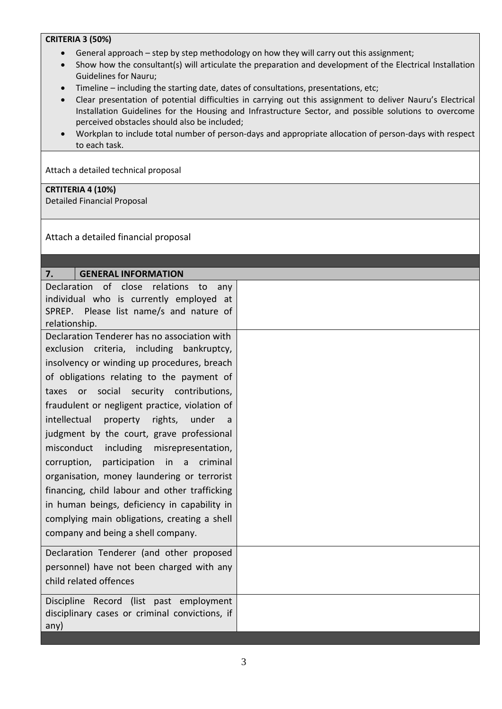#### **CRITERIA 3 (50%)**

- General approach step by step methodology on how they will carry out this assignment;
- Show how the consultant(s) will articulate the preparation and development of the Electrical Installation Guidelines for Nauru;
- Timeline including the starting date, dates of consultations, presentations, etc;
- Clear presentation of potential difficulties in carrying out this assignment to deliver Nauru's Electrical Installation Guidelines for the Housing and Infrastructure Sector, and possible solutions to overcome perceived obstacles should also be included;
- Workplan to include total number of person-days and appropriate allocation of person-days with respect to each task.

Attach a detailed technical proposal

#### **CRTITERIA 4 (10%)**

Detailed Financial Proposal

Attach a detailed financial proposal

| <b>GENERAL INFORMATION</b><br>7.               |  |
|------------------------------------------------|--|
| Declaration of close relations<br>to<br>any    |  |
| individual who is currently employed at        |  |
| SPREP. Please list name/s and nature of        |  |
| relationship.                                  |  |
| Declaration Tenderer has no association with   |  |
| exclusion criteria, including bankruptcy,      |  |
| insolvency or winding up procedures, breach    |  |
| of obligations relating to the payment of      |  |
| taxes or social security contributions,        |  |
| fraudulent or negligent practice, violation of |  |
| intellectual<br>property rights, under<br>a    |  |
| judgment by the court, grave professional      |  |
| misconduct<br>including misrepresentation,     |  |
| participation in a criminal<br>corruption,     |  |
| organisation, money laundering or terrorist    |  |
| financing, child labour and other trafficking  |  |
| in human beings, deficiency in capability in   |  |
| complying main obligations, creating a shell   |  |
| company and being a shell company.             |  |
| Declaration Tenderer (and other proposed       |  |
| personnel) have not been charged with any      |  |
| child related offences                         |  |
| Discipline Record (list past employment        |  |
| disciplinary cases or criminal convictions, if |  |
| any)                                           |  |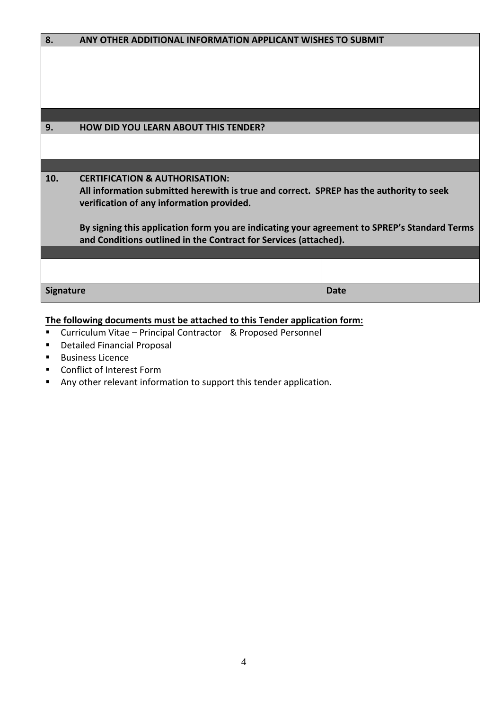| 8.               | ANY OTHER ADDITIONAL INFORMATION APPLICANT WISHES TO SUBMIT                                  |             |  |  |
|------------------|----------------------------------------------------------------------------------------------|-------------|--|--|
|                  |                                                                                              |             |  |  |
|                  |                                                                                              |             |  |  |
|                  |                                                                                              |             |  |  |
|                  |                                                                                              |             |  |  |
|                  |                                                                                              |             |  |  |
| 9.               | <b>HOW DID YOU LEARN ABOUT THIS TENDER?</b>                                                  |             |  |  |
|                  |                                                                                              |             |  |  |
|                  |                                                                                              |             |  |  |
|                  |                                                                                              |             |  |  |
| 10.              | <b>CERTIFICATION &amp; AUTHORISATION:</b>                                                    |             |  |  |
|                  | All information submitted herewith is true and correct. SPREP has the authority to seek      |             |  |  |
|                  | verification of any information provided.                                                    |             |  |  |
|                  |                                                                                              |             |  |  |
|                  | By signing this application form you are indicating your agreement to SPREP's Standard Terms |             |  |  |
|                  | and Conditions outlined in the Contract for Services (attached).                             |             |  |  |
|                  |                                                                                              |             |  |  |
|                  |                                                                                              |             |  |  |
|                  |                                                                                              |             |  |  |
| <b>Signature</b> |                                                                                              | <b>Date</b> |  |  |

# **The following documents must be attached to this Tender application form:**

- Curriculum Vitae Principal Contractor & Proposed Personnel
- Detailed Financial Proposal
- Business Licence
- Conflict of Interest Form
- Any other relevant information to support this tender application.